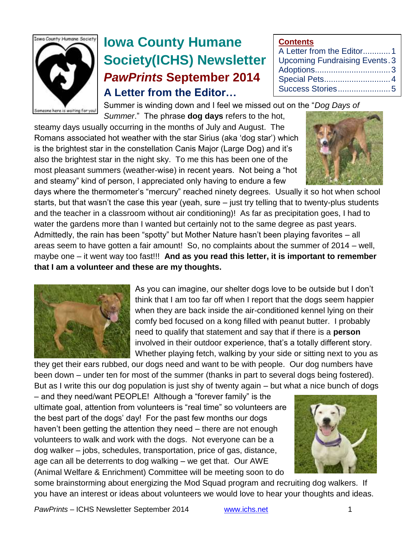

# **Iowa County Humane Society(ICHS) Newsletter** *PawPrints* **September 2014 A Letter from the Editor…**

**Contents** A Letter from the Editor............1 Upcoming Fundraising Events.3 Adoptions.................................3

| Special Pets 4   |  |
|------------------|--|
| Success Stories5 |  |

Summer is winding down and I feel we missed out on the "*Dog Days of Summer*." The phrase **dog days** refers to the hot,

steamy days usually occurring in the months of July and August. The Romans associated hot weather with the star Sirius (aka 'dog star') which is the brightest star in the constellation Canis Major (Large Dog) and it's also the brightest star in the night sky. To me this has been one of the most pleasant summers (weather-wise) in recent years. Not being a "hot and steamy" kind of person, I appreciated only having to endure a few

days where the thermometer's "mercury" reached ninety degrees. Usually it so hot when school starts, but that wasn't the case this year (yeah, sure – just try telling that to twenty-plus students and the teacher in a classroom without air conditioning)! As far as precipitation goes, I had to water the gardens more than I wanted but certainly not to the same degree as past years. Admittedly, the rain has been "spotty" but Mother Nature hasn't been playing favorites – all areas seem to have gotten a fair amount! So, no complaints about the summer of 2014 – well, maybe one – it went way too fast!!! **And as you read this letter, it is important to remember that I am a volunteer and these are my thoughts.**



As you can imagine, our shelter dogs love to be outside but I don't think that I am too far off when I report that the dogs seem happier when they are back inside the air-conditioned kennel lying on their comfy bed focused on a kong filled with peanut butter. I probably need to qualify that statement and say that if there is a **person** involved in their outdoor experience, that's a totally different story. Whether playing fetch, walking by your side or sitting next to you as

they get their ears rubbed, our dogs need and want to be with people. Our dog numbers have been down – under ten for most of the summer (thanks in part to several dogs being fostered). But as I write this our dog population is just shy of twenty again – but what a nice bunch of dogs

– and they need/want PEOPLE! Although a "forever family" is the ultimate goal, attention from volunteers is "real time" so volunteers are the best part of the dogs' day! For the past few months our dogs haven't been getting the attention they need – there are not enough volunteers to walk and work with the dogs. Not everyone can be a dog walker – jobs, schedules, transportation, price of gas, distance, age can all be deterrents to dog walking – we get that. Our AWE (Animal Welfare & Enrichment) Committee will be meeting soon to do



some brainstorming about energizing the Mod Squad program and recruiting dog walkers. If you have an interest or ideas about volunteers we would love to hear your thoughts and ideas.

*PawPrints* – ICHS Newsletter September 2014 [www.ichs.net](http://www.ichs.net/) 1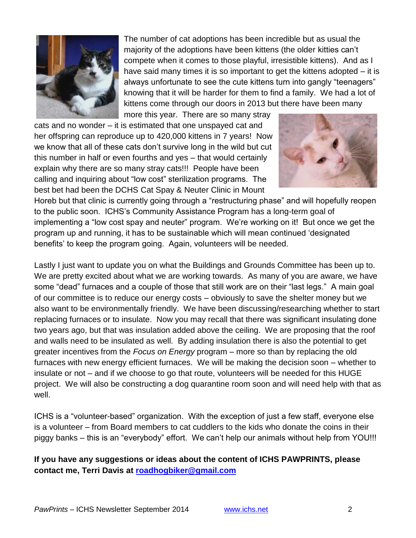

The number of cat adoptions has been incredible but as usual the majority of the adoptions have been kittens (the older kitties can't compete when it comes to those playful, irresistible kittens). And as I have said many times it is so important to get the kittens adopted – it is always unfortunate to see the cute kittens turn into gangly "teenagers" knowing that it will be harder for them to find a family. We had a lot of kittens come through our doors in 2013 but there have been many more this year. There are so many stray

cats and no wonder – it is estimated that one unspayed cat and her offspring can reproduce up to 420,000 kittens in 7 years! Now we know that all of these cats don't survive long in the wild but cut this number in half or even fourths and yes – that would certainly explain why there are so many stray cats!!! People have been calling and inquiring about "low cost" sterilization programs. The best bet had been the DCHS Cat Spay & Neuter Clinic in Mount



Horeb but that clinic is currently going through a "restructuring phase" and will hopefully reopen to the public soon. ICHS's Community Assistance Program has a long-term goal of implementing a "low cost spay and neuter" program. We're working on it! But once we get the program up and running, it has to be sustainable which will mean continued 'designated benefits' to keep the program going. Again, volunteers will be needed.

Lastly I just want to update you on what the Buildings and Grounds Committee has been up to. We are pretty excited about what we are working towards. As many of you are aware, we have some "dead" furnaces and a couple of those that still work are on their "last legs." A main goal of our committee is to reduce our energy costs – obviously to save the shelter money but we also want to be environmentally friendly. We have been discussing/researching whether to start replacing furnaces or to insulate. Now you may recall that there was significant insulating done two years ago, but that was insulation added above the ceiling. We are proposing that the roof and walls need to be insulated as well. By adding insulation there is also the potential to get greater incentives from the *Focus on Energy* program – more so than by replacing the old furnaces with new energy efficient furnaces. We will be making the decision soon – whether to insulate or not – and if we choose to go that route, volunteers will be needed for this HUGE project. We will also be constructing a dog quarantine room soon and will need help with that as well.

ICHS is a "volunteer-based" organization. With the exception of just a few staff, everyone else is a volunteer – from Board members to cat cuddlers to the kids who donate the coins in their piggy banks – this is an "everybody" effort. We can't help our animals without help from YOU!!!

### **If you have any suggestions or ideas about the content of ICHS PAWPRINTS, please contact me, Terri Davis at [roadhogbiker@gmail.com](mailto:roadhogbiker@gmail.com)**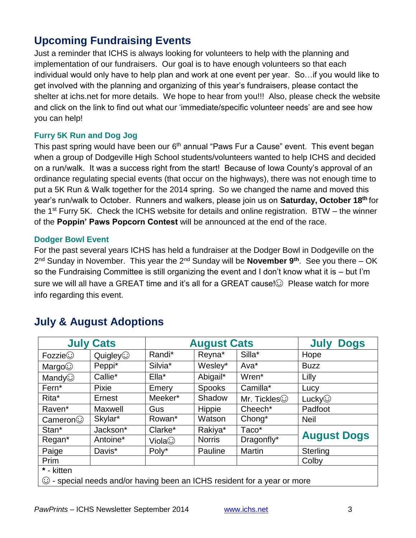### **Upcoming Fundraising Events**

Just a reminder that ICHS is always looking for volunteers to help with the planning and implementation of our fundraisers. Our goal is to have enough volunteers so that each individual would only have to help plan and work at one event per year. So…if you would like to get involved with the planning and organizing of this year's fundraisers, please contact the shelter at ichs.net for more details. We hope to hear from you!!! Also, please check the website and click on the link to find out what our 'immediate/specific volunteer needs' are and see how you can help!

### **Furry 5K Run and Dog Jog**

This past spring would have been our 6<sup>th</sup> annual "Paws Fur a Cause" event. This event began when a group of Dodgeville High School students/volunteers wanted to help ICHS and decided on a run/walk. It was a success right from the start! Because of Iowa County's approval of an ordinance regulating special events (that occur on the highways), there was not enough time to put a 5K Run & Walk together for the 2014 spring. So we changed the name and moved this year's run/walk to October. Runners and walkers, please join us on **Saturday, October 18th** for the  $1<sup>st</sup>$  Furry 5K. Check the ICHS website for details and online registration. BTW – the winner of the **Poppin' Paws Popcorn Contest** will be announced at the end of the race.

### **Dodger Bowl Event**

For the past several years ICHS has held a fundraiser at the Dodger Bowl in Dodgeville on the 2 nd Sunday in November. This year the 2nd Sunday will be **November 9th**. See you there – OK so the Fundraising Committee is still organizing the event and I don't know what it is – but I'm sure we will all have a GREAT time and it's all for a GREAT cause! $\odot$  Please watch for more info regarding this event.

| <b>July Cats</b>                                                               |                | <b>August Cats</b> |               |                     | <b>July Dogs</b>   |  |  |
|--------------------------------------------------------------------------------|----------------|--------------------|---------------|---------------------|--------------------|--|--|
| Fozzie <sup>°</sup>                                                            | $Quigley\odot$ | Randi*             | Reyna*        | Silla*              | Hope               |  |  |
| Margo $\odot$                                                                  | Peppi*         | Silvia*            | Wesley*       | Ava*                | <b>Buzz</b>        |  |  |
| Mandy $\odot$                                                                  | Callie*        | Ella*              | Abigail*      | Wren*               | Lilly              |  |  |
| Fern <sup>*</sup>                                                              | Pixie          | Emery              | <b>Spooks</b> | Camilla*            | Lucy               |  |  |
| Rita*                                                                          | Ernest         | Meeker*            | Shadow        | Mr. Tickles $\odot$ | Lucky $\odot$      |  |  |
| Raven*                                                                         | Maxwell        | Gus                | Hippie        | Cheech*             | Padfoot            |  |  |
| Cameron                                                                        | Skylar*        | Rowan*             | Watson        | Chong <sup>*</sup>  | <b>Neil</b>        |  |  |
| Stan*                                                                          | Jackson*       | Clarke*            | Rakiya*       | Taco*               |                    |  |  |
| Regan*                                                                         | Antoine*       | Viola $\odot$      | <b>Norris</b> | Dragonfly*          | <b>August Dogs</b> |  |  |
| Paige                                                                          | Davis*         | Poly*              | Pauline       | <b>Martin</b>       | Sterling           |  |  |
| Prim                                                                           |                |                    |               |                     | Colby              |  |  |
| * - kitten                                                                     |                |                    |               |                     |                    |  |  |
| $\odot$ - special needs and/or having been an ICHS resident for a year or more |                |                    |               |                     |                    |  |  |

## **July & August Adoptions**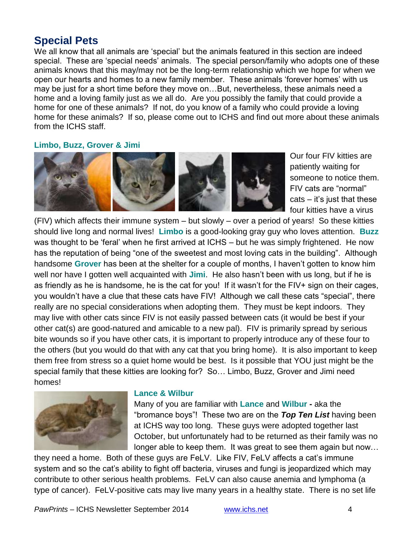### **Special Pets**

We all know that all animals are 'special' but the animals featured in this section are indeed special. These are 'special needs' animals. The special person/family who adopts one of these animals knows that this may/may not be the long-term relationship which we hope for when we open our hearts and homes to a new family member. These animals 'forever homes' with us may be just for a short time before they move on…But, nevertheless, these animals need a home and a loving family just as we all do. Are you possibly the family that could provide a home for one of these animals? If not, do you know of a family who could provide a loving home for these animals? If so, please come out to ICHS and find out more about these animals from the ICHS staff.

### **Limbo, Buzz, Grover & Jimi**



Our four FIV kitties are patiently waiting for someone to notice them. FIV cats are "normal" cats – it's just that these four kitties have a virus

(FIV) which affects their immune system – but slowly – over a period of years! So these kitties should live long and normal lives! **Limbo** is a good-looking gray guy who loves attention. **Buzz** was thought to be 'feral' when he first arrived at ICHS – but he was simply frightened. He now has the reputation of being "one of the sweetest and most loving cats in the building". Although handsome **Grover** has been at the shelter for a couple of months, I haven't gotten to know him well nor have I gotten well acquainted with **Jimi**. He also hasn't been with us long, but if he is as friendly as he is handsome, he is the cat for you! If it wasn't for the FIV+ sign on their cages, you wouldn't have a clue that these cats have FIV! Although we call these cats "special", there really are no special considerations when adopting them. They must be kept indoors. They may live with other cats since FIV is not easily passed between cats (it would be best if your other cat(s) are good-natured and amicable to a new pal). FIV is primarily spread by serious bite wounds so if you have other cats, it is important to properly introduce any of these four to the others (but you would do that with any cat that you bring home). It is also important to keep them free from stress so a quiet home would be best. Is it possible that YOU just might be the special family that these kitties are looking for? So… Limbo, Buzz, Grover and Jimi need homes!



#### **Lance & Wilbur**

Many of you are familiar with **Lance** and **Wilbur -** aka the "bromance boys"! These two are on the *Top Ten List* having been at ICHS way too long. These guys were adopted together last October, but unfortunately had to be returned as their family was no longer able to keep them. It was great to see them again but now…

they need a home. Both of these guys are FeLV. Like FIV, FeLV affects a cat's immune system and so the cat's ability to fight off bacteria, viruses and fungi is jeopardized which may contribute to other serious health problems. FeLV can also cause anemia and lymphoma (a type of cancer). FeLV-positive cats may live many years in a healthy state. There is no set life